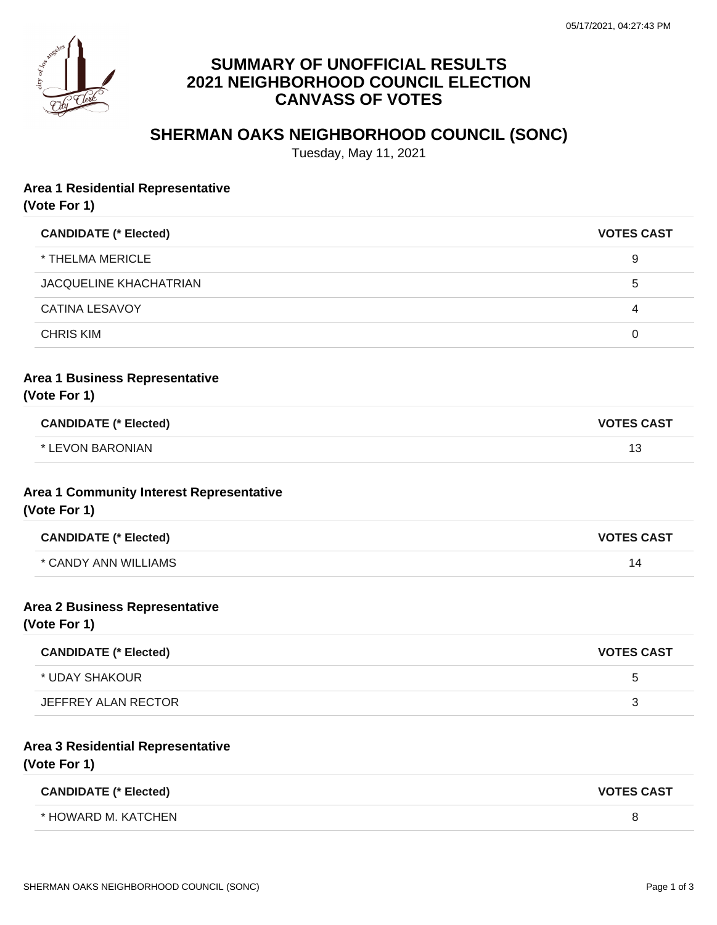

# **SUMMARY OF UNOFFICIAL RESULTS 2021 NEIGHBORHOOD COUNCIL ELECTION CANVASS OF VOTES**

# **SHERMAN OAKS NEIGHBORHOOD COUNCIL (SONC)**

Tuesday, May 11, 2021

#### **Area 1 Residential Representative**

**(Vote For 1)**

| <b>CANDIDATE (* Elected)</b>  | <b>VOTES CAST</b> |
|-------------------------------|-------------------|
| * THELMA MERICLE              | 9                 |
| <b>JACQUELINE KHACHATRIAN</b> | 5                 |
| CATINA LESAVOY                | 4                 |
| <b>CHRIS KIM</b>              | 0                 |
|                               |                   |

### **Area 1 Business Representative**

**(Vote For 1)**

| <b>CANDIDATE (* Elected)</b> | <b>VOTES CAST</b> |
|------------------------------|-------------------|
| * LEVON BARONIAN             |                   |

#### **Area 1 Community Interest Representative (Vote For 1)**

| <b>CANDIDATE (* Elected)</b> | <b>VOTES CAST</b> |
|------------------------------|-------------------|
| * CANDY ANN WILLIAMS         | $\overline{4}$    |

#### **Area 2 Business Representative**

**(Vote For 1)**

| <b>CANDIDATE (* Elected)</b> | <b>VOTES CAST</b> |
|------------------------------|-------------------|
| * UDAY SHAKOUR               | :5                |
| JEFFREY ALAN RECTOR          |                   |

#### **Area 3 Residential Representative**

**(Vote For 1)**

| <b>CANDIDATE (* Elected)</b> | <b>VOTES CAST</b> |
|------------------------------|-------------------|
| * HOWARD M. KATCHEN          |                   |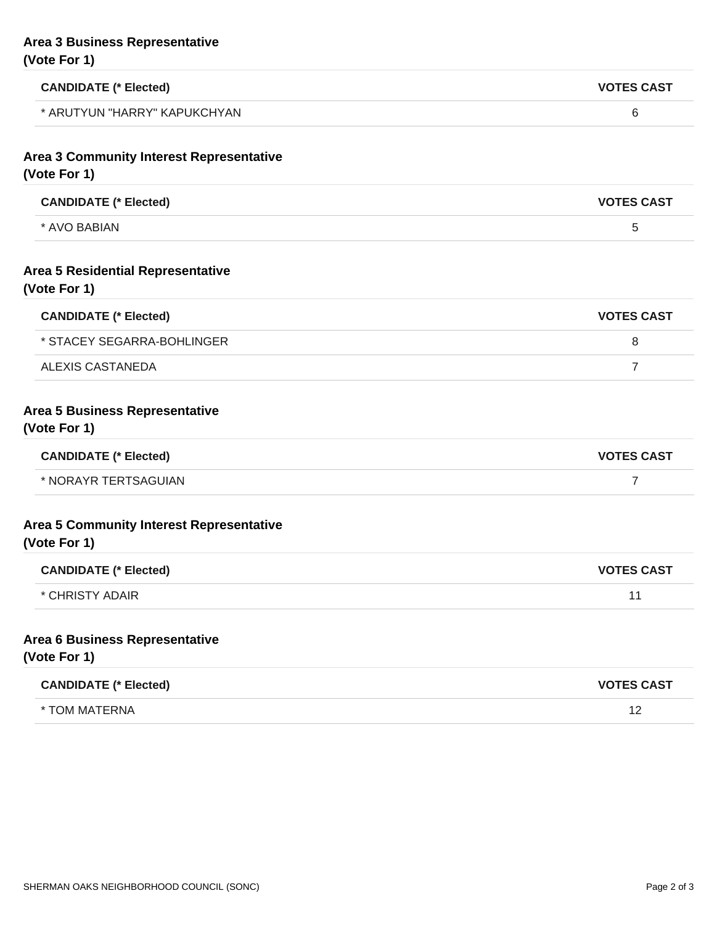# **Area 3 Business Representative (Vote For 1)**

| <b>CANDIDATE (* Elected)</b>                             | <b>VOTES CAST</b> |
|----------------------------------------------------------|-------------------|
| * ARUTYUN "HARRY" KAPUKCHYAN                             | 6                 |
| Area 3 Community Interest Representative<br>(Vote For 1) |                   |
| <b>CANDIDATE (* Elected)</b>                             | <b>VOTES CAST</b> |
| * AVO BABIAN                                             | 5                 |
| <b>Area 5 Residential Representative</b><br>(Vote For 1) |                   |
| <b>CANDIDATE (* Elected)</b>                             | <b>VOTES CAST</b> |
| * STACEY SEGARRA-BOHLINGER                               | 8                 |
| <b>ALEXIS CASTANEDA</b>                                  | $\overline{7}$    |
| Area 5 Business Representative<br>(Vote For 1)           |                   |
| <b>CANDIDATE (* Elected)</b>                             | <b>VOTES CAST</b> |
| * NORAYR TERTSAGUIAN                                     | $\overline{7}$    |
| Area 5 Community Interest Representative<br>(Vote For 1) |                   |
| <b>CANDIDATE (* Elected)</b>                             | <b>VOTES CAST</b> |
| <b>CHRISTY ADAIR</b>                                     | 11                |
| Area 6 Business Representative<br>(Vote For 1)           |                   |
| <b>CANDIDATE (* Elected)</b>                             | <b>VOTES CAST</b> |
| * TOM MATERNA                                            | 12                |